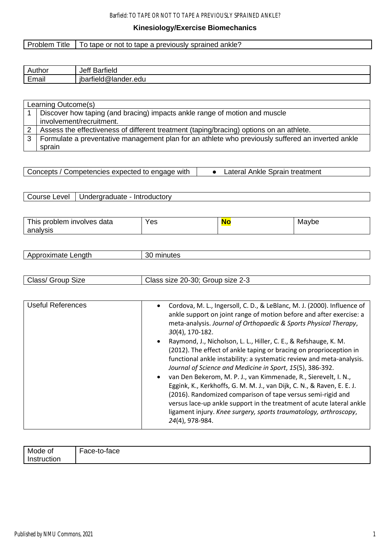## Barfield: TO TAPE OR NOT TO TAPE A PREVIOUSLY SPRAINED ANKLE?

# **Kinesiology/Exercise Biomechanics**

# Problem Title | To tape or not to tape a previously sprained ankle?

| $\Delta$ uthor                        | . .                                                            |
|---------------------------------------|----------------------------------------------------------------|
| unor                                  | Jer                                                            |
| ٦u١                                   | Barfield                                                       |
| <br>$\overline{\phantom{0}}$<br>⊏mail | <br>$\sqrt{2}$<br>- -<br>"lander.edu<br>- -<br>⋓<br>тек<br>. . |

|   | Learning Outcome(s)                                                                               |
|---|---------------------------------------------------------------------------------------------------|
|   | Discover how taping (and bracing) impacts ankle range of motion and muscle                        |
|   | involvement/recruitment.                                                                          |
|   | Assess the effectiveness of different treatment (taping/bracing) options on an athlete.           |
| 3 | Formulate a preventative management plan for an athlete who previously suffered an inverted ankle |
|   | sprain                                                                                            |

| Concepts / Competencies expected to engage with | Lateral Ankle Sprain treatment |
|-------------------------------------------------|--------------------------------|
|                                                 |                                |

| $-$<br><b>ALCOHOL:</b><br>data<br>oblem:<br><b>INVOIVES</b><br>his<br>DΙ | Yes | Mavbe |
|--------------------------------------------------------------------------|-----|-------|
| analysis                                                                 |     |       |

|  | $\sim$ $\sim$ $\sim$ $\sim$ $\sim$<br>этэ<br>1 X I I<br>$\cdots$ | -51<br>Ш<br>utes |
|--|------------------------------------------------------------------|------------------|
|--|------------------------------------------------------------------|------------------|

| $\sim$<br>$\cap$ looc<br>.30.<br>∩ר<br>Group .<br>Class/<br>size 2-3<br>. Size<br>Group<br>size<br>- ZUF -<br>aaa i |
|---------------------------------------------------------------------------------------------------------------------|
|---------------------------------------------------------------------------------------------------------------------|

| <b>Useful References</b> | Cordova, M. L., Ingersoll, C. D., & LeBlanc, M. J. (2000). Influence of<br>٠<br>ankle support on joint range of motion before and after exercise: a<br>meta-analysis. Journal of Orthopaedic & Sports Physical Therapy,<br>30(4), 170-182.                                                                                                                                                                                                                                                                                                                                                                                                             |
|--------------------------|--------------------------------------------------------------------------------------------------------------------------------------------------------------------------------------------------------------------------------------------------------------------------------------------------------------------------------------------------------------------------------------------------------------------------------------------------------------------------------------------------------------------------------------------------------------------------------------------------------------------------------------------------------|
|                          | Raymond, J., Nicholson, L. L., Hiller, C. E., & Refshauge, K. M.<br>(2012). The effect of ankle taping or bracing on proprioception in<br>functional ankle instability: a systematic review and meta-analysis.<br>Journal of Science and Medicine in Sport, 15(5), 386-392.<br>van Den Bekerom, M. P. J., van Kimmenade, R., Sierevelt, I. N.,<br>Eggink, K., Kerkhoffs, G. M. M. J., van Dijk, C. N., & Raven, E. E. J.<br>(2016). Randomized comparison of tape versus semi-rigid and<br>versus lace-up ankle support in the treatment of acute lateral ankle<br>ligament injury. Knee surgery, sports traumatology, arthroscopy,<br>24(4), 978-984. |
|                          |                                                                                                                                                                                                                                                                                                                                                                                                                                                                                                                                                                                                                                                        |

| Mode of | $\overline{\phantom{0}}$<br>∙tace<br>$\sim$<br>Face<br>.<br>๊ |
|---------|---------------------------------------------------------------|
| ног     |                                                               |